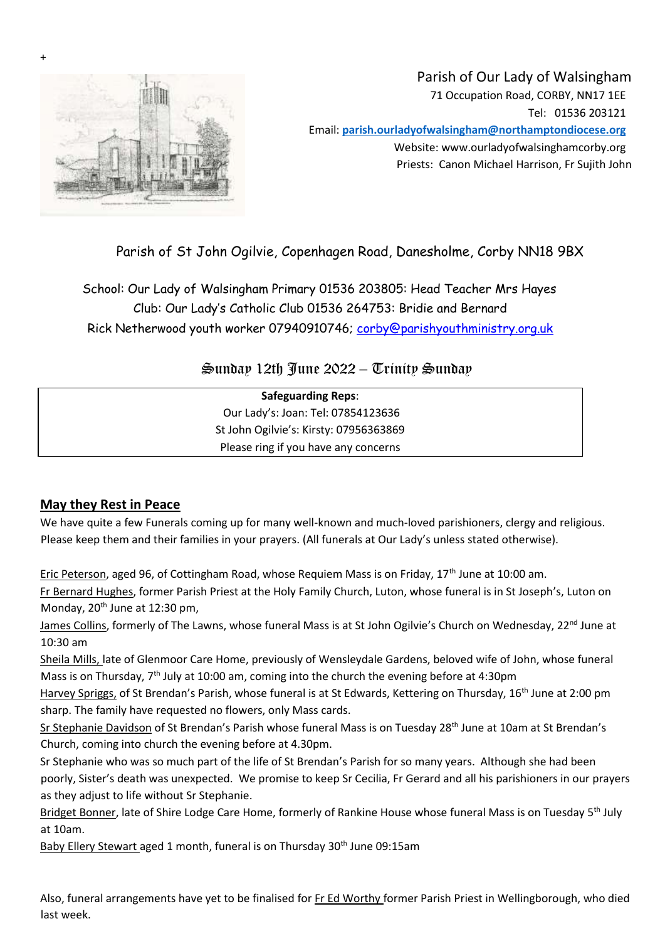

+

# Parish of Our Lady of Walsingham 71 Occupation Road, CORBY, NN17 1EE Tel: 01536 203121 Email: **parish.ourladyofwalsingham@northamptondiocese.org** Website: www.ourladyofwalsinghamcorby.org Priests: Canon Michael Harrison, Fr Sujith John

# Parish of St John Ogilvie, Copenhagen Road, Danesholme, Corby NN18 9BX

School: Our Lady of Walsingham Primary 01536 203805: Head Teacher Mrs Hayes Club: Our Lady's Catholic Club 01536 264753: Bridie and Bernard Rick Netherwood youth worker 07940910746; corby@parishyouthministry.org.uk

# $\mathfrak{S}$ unday 12th Iune 2022 –  $\mathbb{C}$ rinity  $\mathfrak{S}$ unday

| <b>Safeguarding Reps:</b> |                                        |  |
|---------------------------|----------------------------------------|--|
|                           | Our Lady's: Joan: Tel: 07854123636     |  |
|                           | St John Ogilvie's: Kirsty: 07956363869 |  |
|                           | Please ring if you have any concerns   |  |
|                           |                                        |  |

## **May they Rest in Peace**

We have quite a few Funerals coming up for many well-known and much-loved parishioners, clergy and religious. Please keep them and their families in your prayers. (All funerals at Our Lady's unless stated otherwise).

Eric Peterson, aged 96, of Cottingham Road, whose Requiem Mass is on Friday, 17<sup>th</sup> June at 10:00 am.

Fr Bernard Hughes, former Parish Priest at the Holy Family Church, Luton, whose funeral is in St Joseph's, Luton on Monday, 20<sup>th</sup> June at 12:30 pm,

James Collins, formerly of The Lawns, whose funeral Mass is at St John Ogilvie's Church on Wednesday, 22<sup>nd</sup> June at 10:30 am

Sheila Mills, late of Glenmoor Care Home, previously of Wensleydale Gardens, beloved wife of John, whose funeral Mass is on Thursday, 7<sup>th</sup> July at 10:00 am, coming into the church the evening before at 4:30pm

Harvey Spriggs, of St Brendan's Parish, whose funeral is at St Edwards, Kettering on Thursday, 16<sup>th</sup> June at 2:00 pm sharp. The family have requested no flowers, only Mass cards.

Sr Stephanie Davidson of St Brendan's Parish whose funeral Mass is on Tuesday 28<sup>th</sup> June at 10am at St Brendan's Church, coming into church the evening before at 4.30pm.

Sr Stephanie who was so much part of the life of St Brendan's Parish for so many years. Although she had been poorly, Sister's death was unexpected. We promise to keep Sr Cecilia, Fr Gerard and all his parishioners in our prayers as they adjust to life without Sr Stephanie.

Bridget Bonner, late of Shire Lodge Care Home, formerly of Rankine House whose funeral Mass is on Tuesday 5<sup>th</sup> July at 10am.

Baby Ellery Stewart aged 1 month, funeral is on Thursday 30<sup>th</sup> June 09:15am

Also, funeral arrangements have yet to be finalised for Fr Ed Worthy former Parish Priest in Wellingborough, who died last week.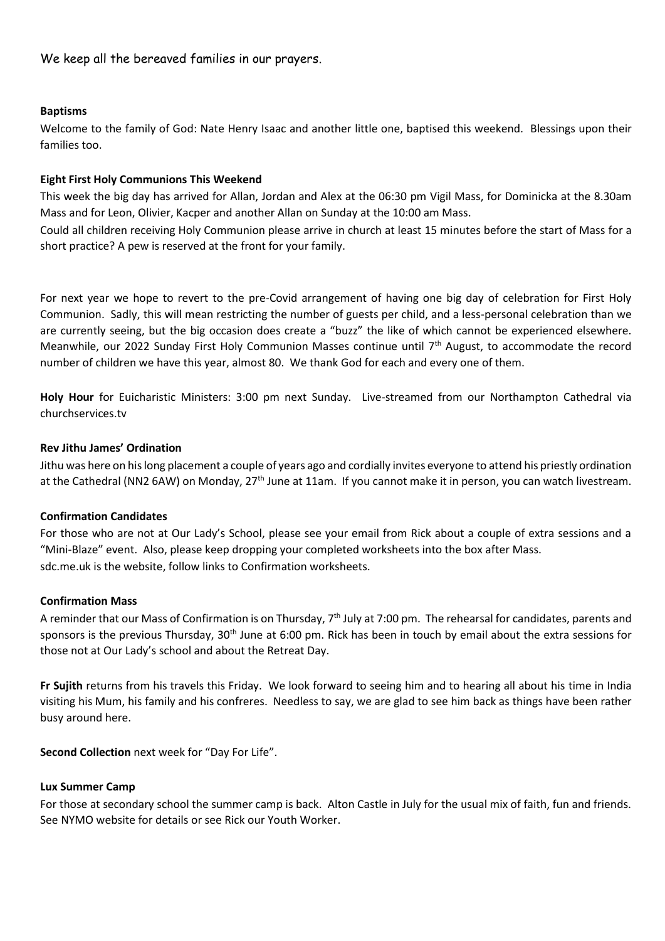We keep all the bereaved families in our prayers.

### **Baptisms**

Welcome to the family of God: Nate Henry Isaac and another little one, baptised this weekend. Blessings upon their families too.

### **Eight First Holy Communions This Weekend**

This week the big day has arrived for Allan, Jordan and Alex at the 06:30 pm Vigil Mass, for Dominicka at the 8.30am Mass and for Leon, Olivier, Kacper and another Allan on Sunday at the 10:00 am Mass.

Could all children receiving Holy Communion please arrive in church at least 15 minutes before the start of Mass for a short practice? A pew is reserved at the front for your family.

For next year we hope to revert to the pre-Covid arrangement of having one big day of celebration for First Holy Communion. Sadly, this will mean restricting the number of guests per child, and a less-personal celebration than we are currently seeing, but the big occasion does create a "buzz" the like of which cannot be experienced elsewhere. Meanwhile, our 2022 Sunday First Holy Communion Masses continue until 7th August, to accommodate the record number of children we have this year, almost 80. We thank God for each and every one of them.

**Holy Hour** for Euicharistic Ministers: 3:00 pm next Sunday. Live-streamed from our Northampton Cathedral via churchservices.tv

### **Rev Jithu James' Ordination**

Jithu was here on his long placement a couple of years ago and cordially invites everyone to attend his priestly ordination at the Cathedral (NN2 6AW) on Monday, 27<sup>th</sup> June at 11am. If you cannot make it in person, you can watch livestream.

### **Confirmation Candidates**

For those who are not at Our Lady's School, please see your email from Rick about a couple of extra sessions and a "Mini-Blaze" event. Also, please keep dropping your completed worksheets into the box after Mass. sdc.me.uk is the website, follow links to Confirmation worksheets.

#### **Confirmation Mass**

A reminder that our Mass of Confirmation is on Thursday, 7<sup>th</sup> July at 7:00 pm. The rehearsal for candidates, parents and sponsors is the previous Thursday,  $30<sup>th</sup>$  June at 6:00 pm. Rick has been in touch by email about the extra sessions for those not at Our Lady's school and about the Retreat Day.

**Fr Sujith** returns from his travels this Friday. We look forward to seeing him and to hearing all about his time in India visiting his Mum, his family and his confreres. Needless to say, we are glad to see him back as things have been rather busy around here.

**Second Collection** next week for "Day For Life".

#### **Lux Summer Camp**

For those at secondary school the summer camp is back. Alton Castle in July for the usual mix of faith, fun and friends. See NYMO website for details or see Rick our Youth Worker.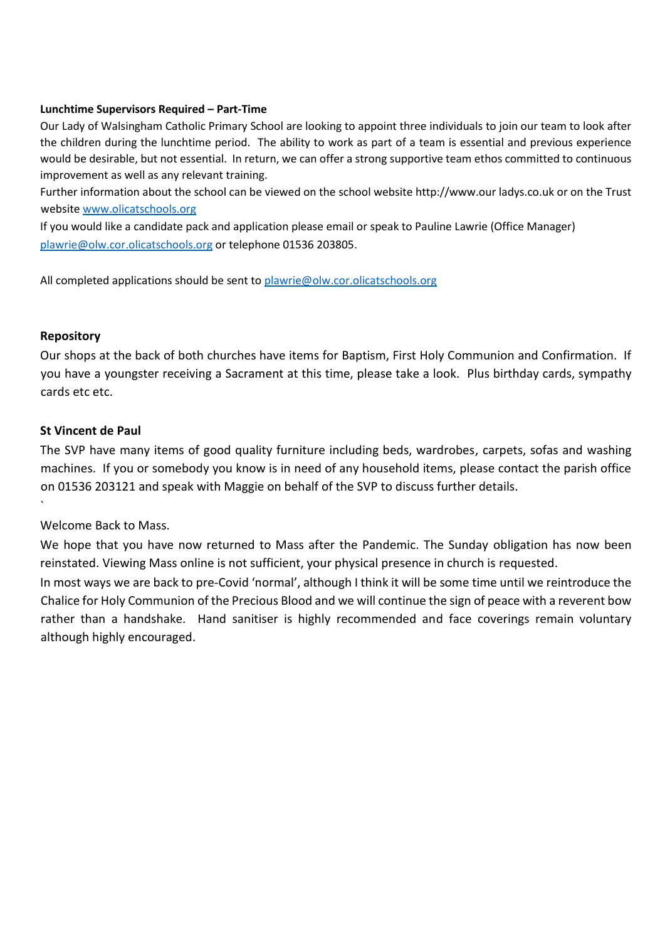### **Lunchtime Supervisors Required – Part-Time**

Our Lady of Walsingham Catholic Primary School are looking to appoint three individuals to join our team to look after the children during the lunchtime period. The ability to work as part of a team is essential and previous experience would be desirable, but not essential. In return, we can offer a strong supportive team ethos committed to continuous improvement as well as any relevant training.

Further information about the school can be viewed on the school website http://www.our ladys.co.uk or on the Trust website [www.olicatschools.org](http://www.olicatschools.org/)

If you would like a candidate pack and application please email or speak to Pauline Lawrie (Office Manager) [plawrie@olw.cor.olicatschools.org](mailto:plawrie@olw.cor.olicatschools.org) or telephone 01536 203805.

All completed applications should be sent t[o plawrie@olw.cor.olicatschools.org](mailto:plawrie@olw.cor.olicatschools.org)

## **Repository**

`

Our shops at the back of both churches have items for Baptism, First Holy Communion and Confirmation. If you have a youngster receiving a Sacrament at this time, please take a look. Plus birthday cards, sympathy cards etc etc.

## **St Vincent de Paul**

The SVP have many items of good quality furniture including beds, wardrobes, carpets, sofas and washing machines. If you or somebody you know is in need of any household items, please contact the parish office on 01536 203121 and speak with Maggie on behalf of the SVP to discuss further details.

Welcome Back to Mass.

We hope that you have now returned to Mass after the Pandemic. The Sunday obligation has now been reinstated. Viewing Mass online is not sufficient, your physical presence in church is requested.

In most ways we are back to pre-Covid 'normal', although I think it will be some time until we reintroduce the Chalice for Holy Communion of the Precious Blood and we will continue the sign of peace with a reverent bow rather than a handshake. Hand sanitiser is highly recommended and face coverings remain voluntary although highly encouraged.